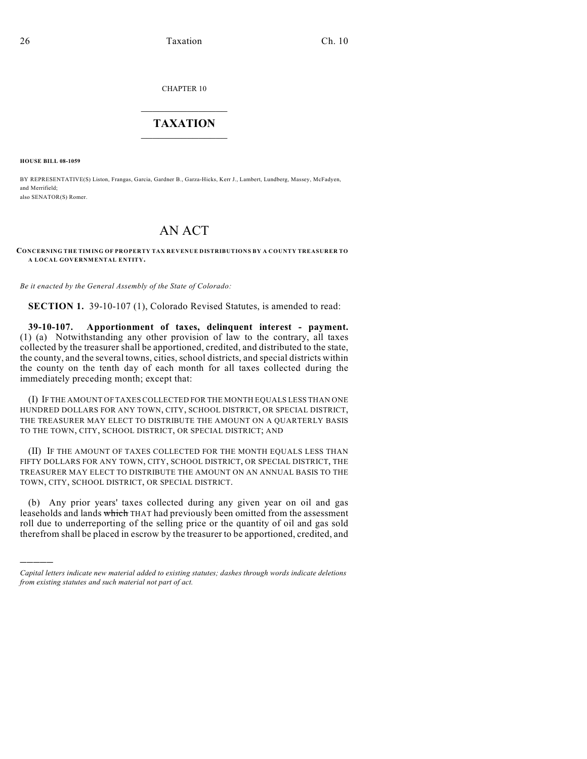CHAPTER 10

## $\mathcal{L}_\text{max}$  . The set of the set of the set of the set of the set of the set of the set of the set of the set of the set of the set of the set of the set of the set of the set of the set of the set of the set of the set **TAXATION**  $\_$

**HOUSE BILL 08-1059**

)))))

BY REPRESENTATIVE(S) Liston, Frangas, Garcia, Gardner B., Garza-Hicks, Kerr J., Lambert, Lundberg, Massey, McFadyen, and Merrifield; also SENATOR(S) Romer.

## AN ACT

**CONCERNING THE TIMING OF PROPERTY TAX REVENUE DISTRIBUTIONS BY A COUNTY TREASURER TO A LOCAL GOVERNMENTAL ENTITY.**

*Be it enacted by the General Assembly of the State of Colorado:*

**SECTION 1.** 39-10-107 (1), Colorado Revised Statutes, is amended to read:

**39-10-107. Apportionment of taxes, delinquent interest - payment.** (1) (a) Notwithstanding any other provision of law to the contrary, all taxes collected by the treasurer shall be apportioned, credited, and distributed to the state, the county, and the several towns, cities, school districts, and special districts within the county on the tenth day of each month for all taxes collected during the immediately preceding month; except that:

(I) IF THE AMOUNT OFTAXES COLLECTED FOR THE MONTH EQUALS LESS THAN ONE HUNDRED DOLLARS FOR ANY TOWN, CITY, SCHOOL DISTRICT, OR SPECIAL DISTRICT, THE TREASURER MAY ELECT TO DISTRIBUTE THE AMOUNT ON A QUARTERLY BASIS TO THE TOWN, CITY, SCHOOL DISTRICT, OR SPECIAL DISTRICT; AND

(II) IF THE AMOUNT OF TAXES COLLECTED FOR THE MONTH EQUALS LESS THAN FIFTY DOLLARS FOR ANY TOWN, CITY, SCHOOL DISTRICT, OR SPECIAL DISTRICT, THE TREASURER MAY ELECT TO DISTRIBUTE THE AMOUNT ON AN ANNUAL BASIS TO THE TOWN, CITY, SCHOOL DISTRICT, OR SPECIAL DISTRICT.

(b) Any prior years' taxes collected during any given year on oil and gas leaseholds and lands which THAT had previously been omitted from the assessment roll due to underreporting of the selling price or the quantity of oil and gas sold therefrom shall be placed in escrow by the treasurer to be apportioned, credited, and

*Capital letters indicate new material added to existing statutes; dashes through words indicate deletions from existing statutes and such material not part of act.*